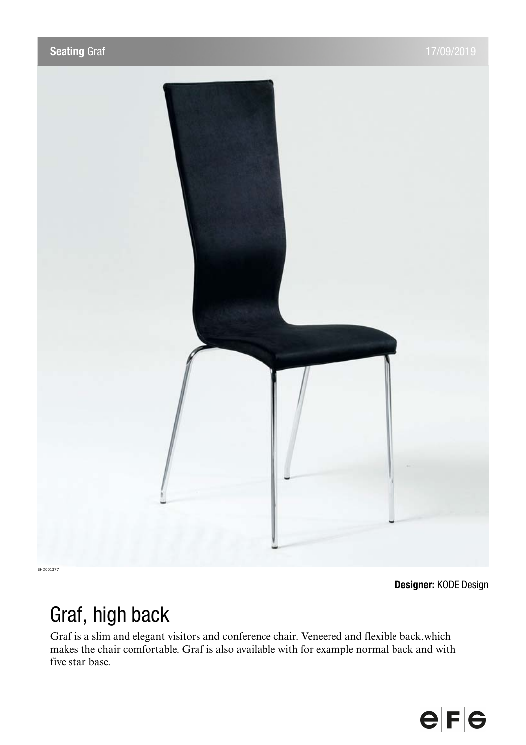

**Designer:** KODE Design

## Graf, high back

Graf is a slim and elegant visitors and conference chair. Veneered and flexible back,which makes the chair comfortable. Graf is also available with for example normal back and with five star base.